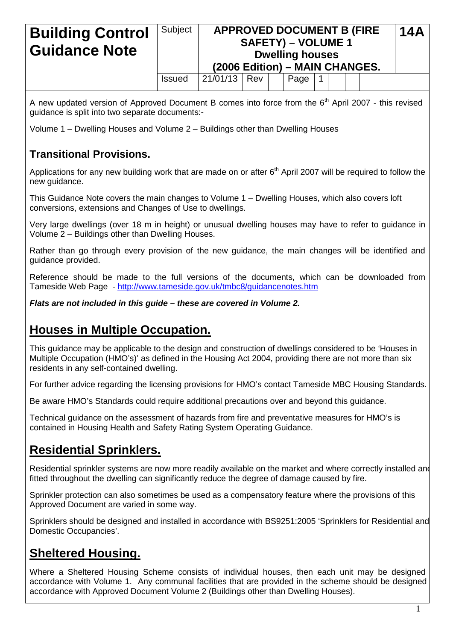| <b>Building Control</b><br><b>Guidance Note</b> | Subject       | (2006 Edition) - MAIN CHANGES. |     | <b>APPROVED DOCUMENT B (FIRE</b><br><b>SAFETY) – VOLUME 1</b><br><b>Dwelling houses</b> |  |  | <b>14A</b> |
|-------------------------------------------------|---------------|--------------------------------|-----|-----------------------------------------------------------------------------------------|--|--|------------|
|                                                 | <b>Issued</b> | 21/01/13                       | Rev | Page                                                                                    |  |  |            |

A new updated version of Approved Document B comes into force from the  $6<sup>th</sup>$  April 2007 - this revised guidance is split into two separate documents:-

Volume 1 – Dwelling Houses and Volume 2 – Buildings other than Dwelling Houses

## **Transitional Provisions.**

Applications for any new building work that are made on or after 6<sup>th</sup> April 2007 will be required to follow the new guidance.

This Guidance Note covers the main changes to Volume 1 – Dwelling Houses, which also covers loft conversions, extensions and Changes of Use to dwellings.

Very large dwellings (over 18 m in height) or unusual dwelling houses may have to refer to guidance in Volume 2 – Buildings other than Dwelling Houses.

Rather than go through every provision of the new guidance, the main changes will be identified and guidance provided.

Reference should be made to the full versions of the documents, which can be downloaded from Tameside Web Page - <http://www.tameside.gov.uk/tmbc8/guidancenotes.htm>

*Flats are not included in this guide – these are covered in Volume 2.*

# **Houses in Multiple Occupation.**

This guidance may be applicable to the design and construction of dwellings considered to be 'Houses in Multiple Occupation (HMO's)' as defined in the Housing Act 2004, providing there are not more than six residents in any self-contained dwelling.

For further advice regarding the licensing provisions for HMO's contact Tameside MBC Housing Standards.

Be aware HMO's Standards could require additional precautions over and beyond this guidance.

Technical guidance on the assessment of hazards from fire and preventative measures for HMO's is contained in Housing Health and Safety Rating System Operating Guidance.

# **Residential Sprinklers.**

Residential sprinkler systems are now more readily available on the market and where correctly installed and fitted throughout the dwelling can significantly reduce the degree of damage caused by fire.

Sprinkler protection can also sometimes be used as a compensatory feature where the provisions of this Approved Document are varied in some way.

Sprinklers should be designed and installed in accordance with BS9251:2005 'Sprinklers for Residential and Domestic Occupancies'.

# **Sheltered Housing.**

Where a Sheltered Housing Scheme consists of individual houses, then each unit may be designed accordance with Volume 1. Any communal facilities that are provided in the scheme should be designed accordance with Approved Document Volume 2 (Buildings other than Dwelling Houses).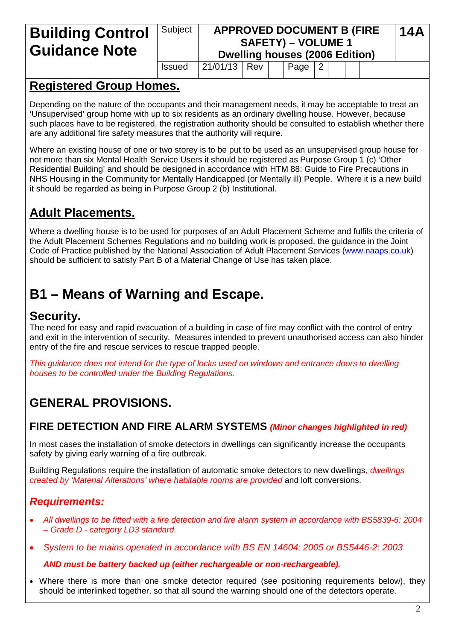# **Building Control Guidance Note**

#### Subject **APPROVED DOCUMENT B (FIRE SAFETY) – VOLUME 1 Dwelling houses (2006 Edition) 14A**

# $Is sued \ |21/01/13 \ | \ Rev \ | \ | \ Paqe \ |2$

# **Registered Group Homes.**

Depending on the nature of the occupants and their management needs, it may be acceptable to treat an 'Unsupervised' group home with up to six residents as an ordinary dwelling house. However, because such places have to be registered, the registration authority should be consulted to establish whether there are any additional fire safety measures that the authority will require.

Where an existing house of one or two storey is to be put to be used as an unsupervised group house for not more than six Mental Health Service Users it should be registered as Purpose Group 1 (c) 'Other Residential Building' and should be designed in accordance with HTM 88: Guide to Fire Precautions in NHS Housing in the Community for Mentally Handicapped (or Mentally ill) People. Where it is a new build it should be regarded as being in Purpose Group 2 (b) Institutional.

# **Adult Placements.**

Where a dwelling house is to be used for purposes of an Adult Placement Scheme and fulfils the criteria of the Adult Placement Schemes Regulations and no building work is proposed, the guidance in the Joint Code of Practice published by the National Association of Adult Placement Services [\(www.naaps.co.uk\)](http://www.naaps.co.uk/) should be sufficient to satisfy Part B of a Material Change of Use has taken place.

# **B1 – Means of Warning and Escape.**

# **Security.**

The need for easy and rapid evacuation of a building in case of fire may conflict with the control of entry and exit in the intervention of security. Measures intended to prevent unauthorised access can also hinder entry of the fire and rescue services to rescue trapped people.

*This guidance does not intend for the type of locks used on windows and entrance doors to dwelling houses to be controlled under the Building Regulations.*

# **GENERAL PROVISIONS.**

# **FIRE DETECTION AND FIRE ALARM SYSTEMS** *(Minor changes highlighted in red)*

In most cases the installation of smoke detectors in dwellings can significantly increase the occupants safety by giving early warning of a fire outbreak.

Building Regulations require the installation of automatic smoke detectors to new dwellings, *dwellings created by 'Material Alterations' where habitable rooms are provided* and loft conversions.

# *Requirements:*

- *All dwellings to be fitted with a fire detection and fire alarm system in accordance with BS5839-6: 2004 – Grade D - category LD3 standard.*
- *System to be mains operated in accordance with BS EN 14604: 2005 or BS5446-2: 2003*

#### *AND must be battery backed up (either rechargeable or non-rechargeable).*

• Where there is more than one smoke detector required (see positioning requirements below), they should be interlinked together, so that all sound the warning should one of the detectors operate.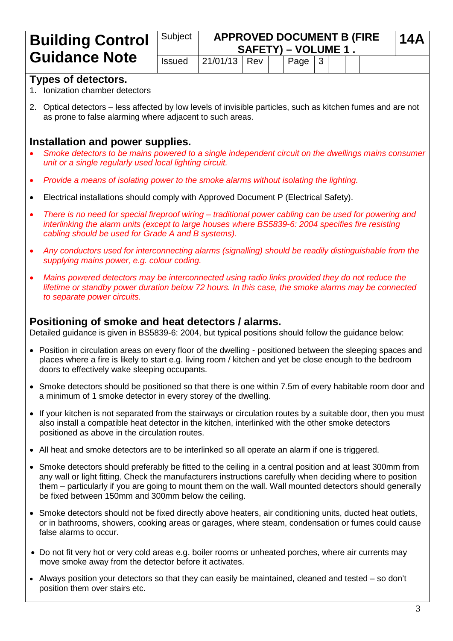| <b>Building Control</b>                                                                                                                                                  | Subject<br><b>APPROVED DOCUMENT B (FIRE)</b><br>SAFETY) - VOLUME 1. |          |     |  |      |   |  |  |  | <b>14A</b> |
|--------------------------------------------------------------------------------------------------------------------------------------------------------------------------|---------------------------------------------------------------------|----------|-----|--|------|---|--|--|--|------------|
| <b>Guidance Note</b>                                                                                                                                                     | <b>Issued</b>                                                       | 21/01/13 | Rev |  | Page | 3 |  |  |  |            |
| <b>Types of detectors.</b><br>1. Ionization chamber detectors                                                                                                            |                                                                     |          |     |  |      |   |  |  |  |            |
| 2. Optical detectors – less affected by low levels of invisible particles, such as kitchen fumes and are not<br>as prone to false alarming where adjacent to such areas. |                                                                     |          |     |  |      |   |  |  |  |            |

### **Installation and power supplies.**

- *Smoke detectors to be mains powered to a single independent circuit on the dwellings mains consumer unit or a single regularly used local lighting circuit.*
- *Provide a means of isolating power to the smoke alarms without isolating the lighting.*
- Electrical installations should comply with Approved Document P (Electrical Safety).
- *There is no need for special fireproof wiring – traditional power cabling can be used for powering and interlinking the alarm units (except to large houses where BS5839-6: 2004 specifies fire resisting cabling should be used for Grade A and B systems).*
- *Any conductors used for interconnecting alarms (signalling) should be readily distinguishable from the supplying mains power, e.g. colour coding.*
- *Mains powered detectors may be interconnected using radio links provided they do not reduce the lifetime or standby power duration below 72 hours. In this case, the smoke alarms may be connected to separate power circuits.*

#### **Positioning of smoke and heat detectors / alarms.**

Detailed guidance is given in BS5839-6: 2004, but typical positions should follow the guidance below:

- Position in circulation areas on every floor of the dwelling positioned between the sleeping spaces and places where a fire is likely to start e.g. living room / kitchen and yet be close enough to the bedroom doors to effectively wake sleeping occupants.
- Smoke detectors should be positioned so that there is one within 7.5m of every habitable room door and a minimum of 1 smoke detector in every storey of the dwelling.
- If your kitchen is not separated from the stairways or circulation routes by a suitable door, then you must also install a compatible heat detector in the kitchen, interlinked with the other smoke detectors positioned as above in the circulation routes.
- All heat and smoke detectors are to be interlinked so all operate an alarm if one is triggered.
- Smoke detectors should preferably be fitted to the ceiling in a central position and at least 300mm from any wall or light fitting. Check the manufacturers instructions carefully when deciding where to position them – particularly if you are going to mount them on the wall. Wall mounted detectors should generally be fixed between 150mm and 300mm below the ceiling.
- Smoke detectors should not be fixed directly above heaters, air conditioning units, ducted heat outlets, or in bathrooms, showers, cooking areas or garages, where steam, condensation or fumes could cause false alarms to occur.
- Do not fit very hot or very cold areas e.g. boiler rooms or unheated porches, where air currents may move smoke away from the detector before it activates.
- Always position your detectors so that they can easily be maintained, cleaned and tested so don't position them over stairs etc.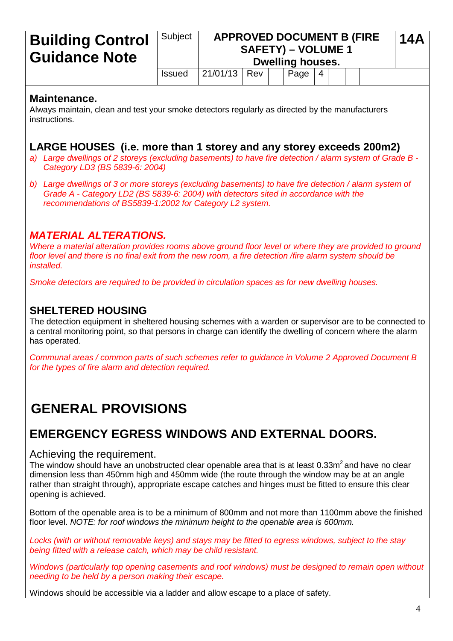#### **Building Control Guidance Note** Subject **APPROVED DOCUMENT B (FIRE SAFETY) – VOLUME 1 Dwelling houses. 14A** Issued  $\left| \frac{21}{01/13} \right|$  Rev  $\left| \right|$  Page  $\left| 4 \right|$

# **Maintenance.**

Always maintain, clean and test your smoke detectors regularly as directed by the manufacturers instructions.

### **LARGE HOUSES (i.e. more than 1 storey and any storey exceeds 200m2)**

- *a) Large dwellings of 2 storeys (excluding basements) to have fire detection / alarm system of Grade B - Category LD3 (BS 5839-6: 2004)*
- *b) Large dwellings of 3 or more storeys (excluding basements) to have fire detection / alarm system of Grade A - Category LD2 (BS 5839-6: 2004) with detectors sited in accordance with the recommendations of BS5839-1:2002 for Category L2 system.*

### *MATERIAL ALTERATIONS.*

*Where a material alteration provides rooms above ground floor level or where they are provided to ground floor level and there is no final exit from the new room, a fire detection /fire alarm system should be installed.*

*Smoke detectors are required to be provided in circulation spaces as for new dwelling houses.*

### **SHELTERED HOUSING**

The detection equipment in sheltered housing schemes with a warden or supervisor are to be connected to a central monitoring point, so that persons in charge can identify the dwelling of concern where the alarm has operated.

*Communal areas / common parts of such schemes refer to guidance in Volume 2 Approved Document B for the types of fire alarm and detection required.*

# **GENERAL PROVISIONS**

# **EMERGENCY EGRESS WINDOWS AND EXTERNAL DOORS.**

#### Achieving the requirement.

The window should have an unobstructed clear openable area that is at least  $0.33m<sup>2</sup>$  and have no clear dimension less than 450mm high and 450mm wide (the route through the window may be at an angle rather than straight through), appropriate escape catches and hinges must be fitted to ensure this clear opening is achieved.

Bottom of the openable area is to be a minimum of 800mm and not more than 1100mm above the finished floor level. *NOTE: for roof windows the minimum height to the openable area is 600mm.*

*Locks (with or without removable keys) and stays may be fitted to egress windows, subject to the stay being fitted with a release catch, which may be child resistant.*

*Windows (particularly top opening casements and roof windows) must be designed to remain open without needing to be held by a person making their escape.*

Windows should be accessible via a ladder and allow escape to a place of safety.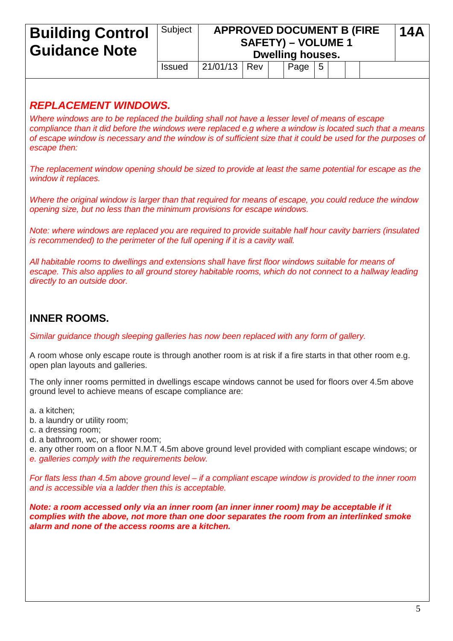## **Building Control Guidance Note** Subject **APPROVED DOCUMENT B (FIRE SAFETY) – VOLUME 1 Dwelling houses. 14A**  $Is sued \ |21/01/13 \ | \ Rev \ | \ | \ Paqe \ | \ 5$ *REPLACEMENT WINDOWS. Where windows are to be replaced the building shall not have a lesser level of means of escape compliance than it did before the windows were replaced e.g where a window is located such that a means of escape window is necessary and the window is of sufficient size that it could be used for the purposes of escape then: The replacement window opening should be sized to provide at least the same potential for escape as the window it replaces. Where the original window is larger than that required for means of escape, you could reduce the window opening size, but no less than the minimum provisions for escape windows. Note: where windows are replaced you are required to provide suitable half hour cavity barriers (insulated is recommended) to the perimeter of the full opening if it is a cavity wall. All habitable rooms to dwellings and extensions shall have first floor windows suitable for means of escape. This also applies to all ground storey habitable rooms, which do not connect to a hallway leading directly to an outside door.*

## **INNER ROOMS.**

*Similar guidance though sleeping galleries has now been replaced with any form of gallery.*

A room whose only escape route is through another room is at risk if a fire starts in that other room e.g. open plan layouts and galleries.

The only inner rooms permitted in dwellings escape windows cannot be used for floors over 4.5m above ground level to achieve means of escape compliance are:

a. a kitchen;

- b. a laundry or utility room;
- c. a dressing room;
- d. a bathroom, wc, or shower room;

e. any other room on a floor N.M.T 4.5m above ground level provided with compliant escape windows; or *e. galleries comply with the requirements below.*

*For flats less than 4.5m above ground level – if a compliant escape window is provided to the inner room and is accessible via a ladder then this is acceptable.*

*Note: a room accessed only via an inner room (an inner inner room) may be acceptable if it complies with the above, not more than one door separates the room from an interlinked smoke alarm and none of the access rooms are a kitchen.*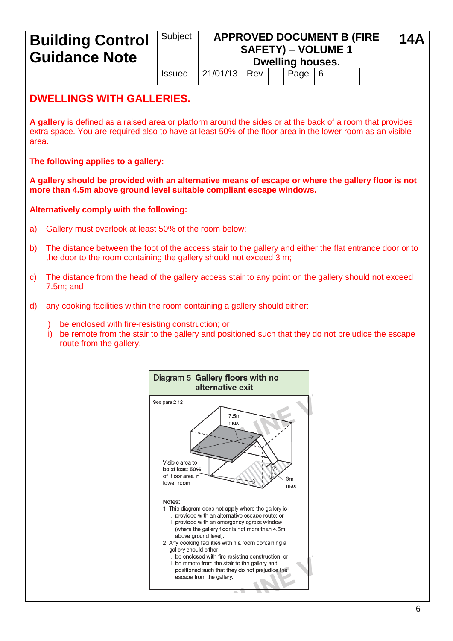# **Building Control**  Subject **APPROVED DOCUMENT B (FIRE 14A SAFETY) – VOLUME 1 Guidance Note Dwelling houses.** Issued  $\left| \frac{21}{01/13} \right|$  Rev  $\left| \right|$  Page  $\left| 6 \right|$ **DWELLINGS WITH GALLERIES. A gallery** is defined as a raised area or platform around the sides or at the back of a room that provides extra space. You are required also to have at least 50% of the floor area in the lower room as an visible area. **The following applies to a gallery: A gallery should be provided with an alternative means of escape or where the gallery floor is not more than 4.5m above ground level suitable compliant escape windows. Alternatively comply with the following:** a) Gallery must overlook at least 50% of the room below; b) The distance between the foot of the access stair to the gallery and either the flat entrance door or to the door to the room containing the gallery should not exceed 3 m; c) The distance from the head of the gallery access stair to any point on the gallery should not exceed 7.5m; and d) any cooking facilities within the room containing a gallery should either: i) be enclosed with fire-resisting construction; or ii) be remote from the stair to the gallery and positioned such that they do not prejudice the escape route from the gallery.Diagram 5 Gallery floors with no alternative exit See para 2.12  $7.5<sub>m</sub>$

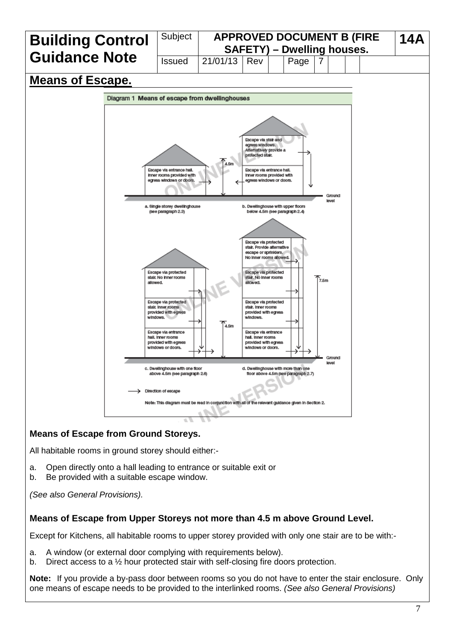

#### **Means of Escape from Ground Storeys.**

All habitable rooms in ground storey should either:-

- a. Open directly onto a hall leading to entrance or suitable exit or
- b. Be provided with a suitable escape window.

*(See also General Provisions).*

#### **Means of Escape from Upper Storeys not more than 4.5 m above Ground Level.**

Except for Kitchens, all habitable rooms to upper storey provided with only one stair are to be with:-

- a. A window (or external door complying with requirements below).
- b. Direct access to a ½ hour protected stair with self-closing fire doors protection.

**Note:** If you provide a by-pass door between rooms so you do not have to enter the stair enclosure. Only one means of escape needs to be provided to the interlinked rooms. *(See also General Provisions)*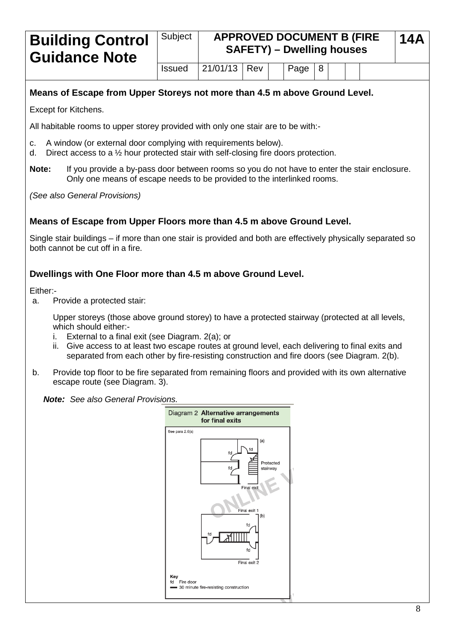#### **Building Control Guidance Note** Subject **APPROVED DOCUMENT B (FIRE SAFETY) – Dwelling houses 14A**  $Is sued \ |21/01/13 \ | \ Rev \ | \ | \ Paqe \ |8$

### **Means of Escape from Upper Storeys not more than 4.5 m above Ground Level.**

Except for Kitchens.

All habitable rooms to upper storey provided with only one stair are to be with:-

- c. A window (or external door complying with requirements below).
- d. Direct access to a ½ hour protected stair with self-closing fire doors protection.
- **Note:** If you provide a by-pass door between rooms so you do not have to enter the stair enclosure. Only one means of escape needs to be provided to the interlinked rooms.

*(See also General Provisions)*

#### **Means of Escape from Upper Floors more than 4.5 m above Ground Level.**

Single stair buildings – if more than one stair is provided and both are effectively physically separated so both cannot be cut off in a fire.

#### **Dwellings with One Floor more than 4.5 m above Ground Level.**

Either:-

a. Provide a protected stair:

Upper storeys (those above ground storey) to have a protected stairway (protected at all levels, which should either:-

- i. External to a final exit (see Diagram. 2(a); or
- ii. Give access to at least two escape routes at ground level, each delivering to final exits and separated from each other by fire-resisting construction and fire doors (see Diagram. 2(b).
- b. Provide top floor to be fire separated from remaining floors and provided with its own alternative escape route (see Diagram. 3).

*Note: See also General Provisions.*

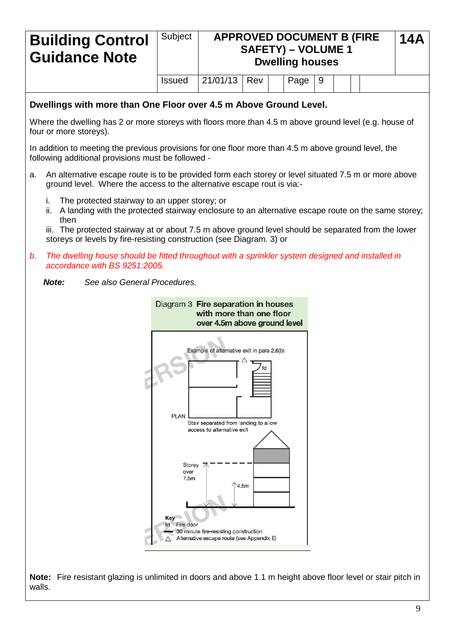| <b>Building Control</b><br><b>Guidance Note</b>                                                        | Subject       | <b>APPROVED DOCUMENT B (FIRE)</b><br><b>SAFETY) - VOLUME 1</b><br><b>Dwelling houses</b> |     |  |      |   |  |  |  |
|--------------------------------------------------------------------------------------------------------|---------------|------------------------------------------------------------------------------------------|-----|--|------|---|--|--|--|
|                                                                                                        | <b>Issued</b> | 21/01/13                                                                                 | Rev |  | Page | 9 |  |  |  |
| Dwellings with more than One Floor over 4.5 m Above Ground Level.                                      |               |                                                                                          |     |  |      |   |  |  |  |
| Where the dwelling has 2 or more storeys with floors more than 4.5 m above ground level (e.g. house of |               |                                                                                          |     |  |      |   |  |  |  |

In addition to meeting the previous provisions for one floor more than 4.5 m above ground level, the following additional provisions must be followed -

- a. An alternative escape route is to be provided form each storey or level situated 7.5 m or more above ground level. Where the access to the alternative escape rout is via:
	- i. The protected stairway to an upper storey; or

four or more storeys).

ii. A landing with the protected stairway enclosure to an alternative escape route on the same storey; then

iii. The protected stairway at or about 7.5 m above ground level should be separated from the lower storeys or levels by fire-resisting construction (see Diagram. 3) or

*b. The dwelling house should be fitted throughout with a sprinkler system designed and installed in accordance with BS 9251:2005.*

*Note: See also General Procedures.*



**Note:** Fire resistant glazing is unlimited in doors and above 1.1 m height above floor level or stair pitch in walls.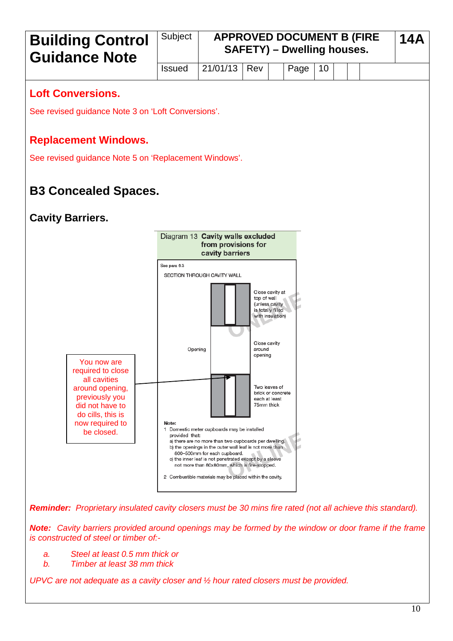

*Reminder: Proprietary insulated cavity closers must be 30 mins fire rated (not all achieve this standard).*

*Note: Cavity barriers provided around openings may be formed by the window or door frame if the frame is constructed of steel or timber of:-*

*a. Steel at least 0.5 mm thick or*

*b. Timber at least 38 mm thick*

*UPVC are not adequate as a cavity closer and ½ hour rated closers must be provided.*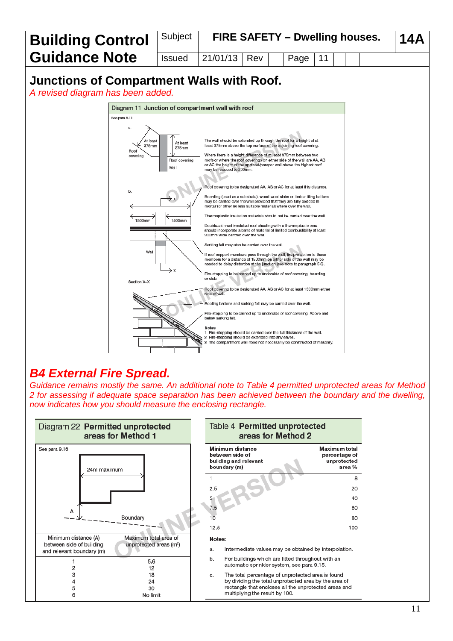

# *B4 External Fire Spread.*

*Guidance remains mostly the same. An additional note to Table 4 permitted unprotected areas for Method 2 for assessing if adequate space separation has been achieved between the boundary and the dwelling, now indicates how you should measure the enclosing rectangle.*



| lable 4 <b>Permitted unprotected</b><br>areas for Method 2                   |                                                         |
|------------------------------------------------------------------------------|---------------------------------------------------------|
| Minimum distance<br>between side of<br>building and relevant<br>boundary (m) | Maximum total<br>percentage of<br>unprotected<br>area % |
| 1                                                                            | 8                                                       |
| 2.5                                                                          | 20                                                      |
| 5                                                                            | 40                                                      |
| 7.5                                                                          | 60                                                      |
| 10                                                                           | 80                                                      |
| 12.5                                                                         | 100                                                     |
| Notes:                                                                       |                                                         |

- Intermediate values may be obtained by interpolation.
- For buildings which are fitted throughout with an automatic sprinkler system, see para 9.15.
- The total percentage of unprotected area is found by dividing the total unprotected area by the area of rectangle that encloses all the unprotected areas and multiplying the result by 100.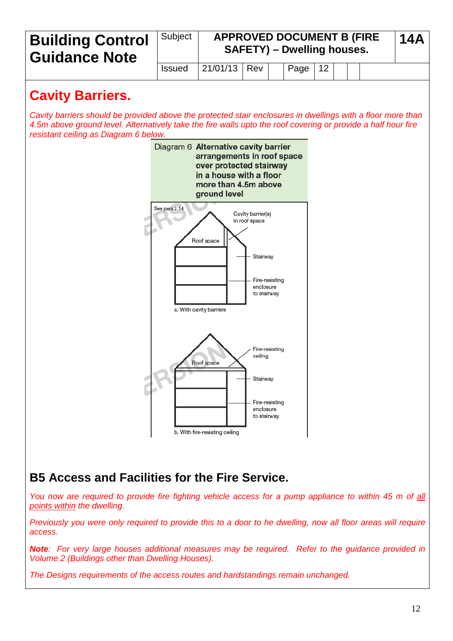

# **B5 Access and Facilities for the Fire Service.**

*You now are required to provide fire fighting vehicle access for a pump appliance to within 45 m of all points within the dwelling.*

*Previously you were only required to provide this to a door to he dwelling, now all floor areas will require access.*

*Note: For very large houses additional measures may be required. Refer to the guidance provided in Volume 2 (Buildings other than Dwelling Houses).*

*The Designs requirements of the access routes and hardstandings remain unchanged.*